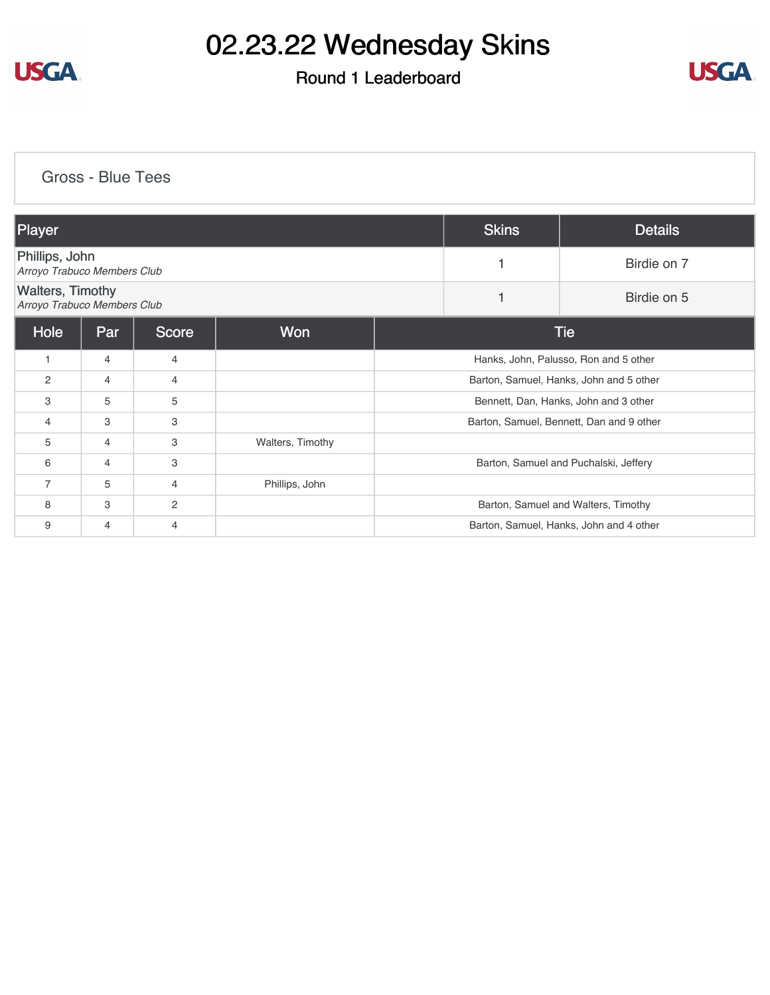

### Round 1 Leaderboard



[Gross - Blue Tees](https://cdn2.golfgenius.com/v2tournaments/8243031945202655586?called_from=&round_index=1)

| Player                                                 |                |              |                  |                                          | <b>Skins</b> | <b>Details</b>                      |
|--------------------------------------------------------|----------------|--------------|------------------|------------------------------------------|--------------|-------------------------------------|
| Phillips, John<br>Arroyo Trabuco Members Club          |                |              |                  |                                          | 1            | Birdie on 7                         |
| <b>Walters, Timothy</b><br>Arroyo Trabuco Members Club |                |              |                  |                                          |              | Birdie on 5                         |
| Hole                                                   | Par            | <b>Score</b> | <b>Won</b>       | <b>Tie</b>                               |              |                                     |
| $\mathbf{1}$                                           | 4              | 4            |                  | Hanks, John, Palusso, Ron and 5 other    |              |                                     |
| 2                                                      | 4              | 4            |                  | Barton, Samuel, Hanks, John and 5 other  |              |                                     |
| 3                                                      | 5              | 5            |                  | Bennett, Dan, Hanks, John and 3 other    |              |                                     |
| $\overline{4}$                                         | 3              | 3            |                  | Barton, Samuel, Bennett, Dan and 9 other |              |                                     |
| 5                                                      | $\overline{4}$ | 3            | Walters, Timothy |                                          |              |                                     |
| 6                                                      | 4              | 3            |                  | Barton, Samuel and Puchalski, Jeffery    |              |                                     |
| $\overline{7}$                                         | 5              | 4            | Phillips, John   |                                          |              |                                     |
| 8                                                      | 3              | 2            |                  |                                          |              | Barton, Samuel and Walters, Timothy |
| 9                                                      | 4              | 4            |                  | Barton, Samuel, Hanks, John and 4 other  |              |                                     |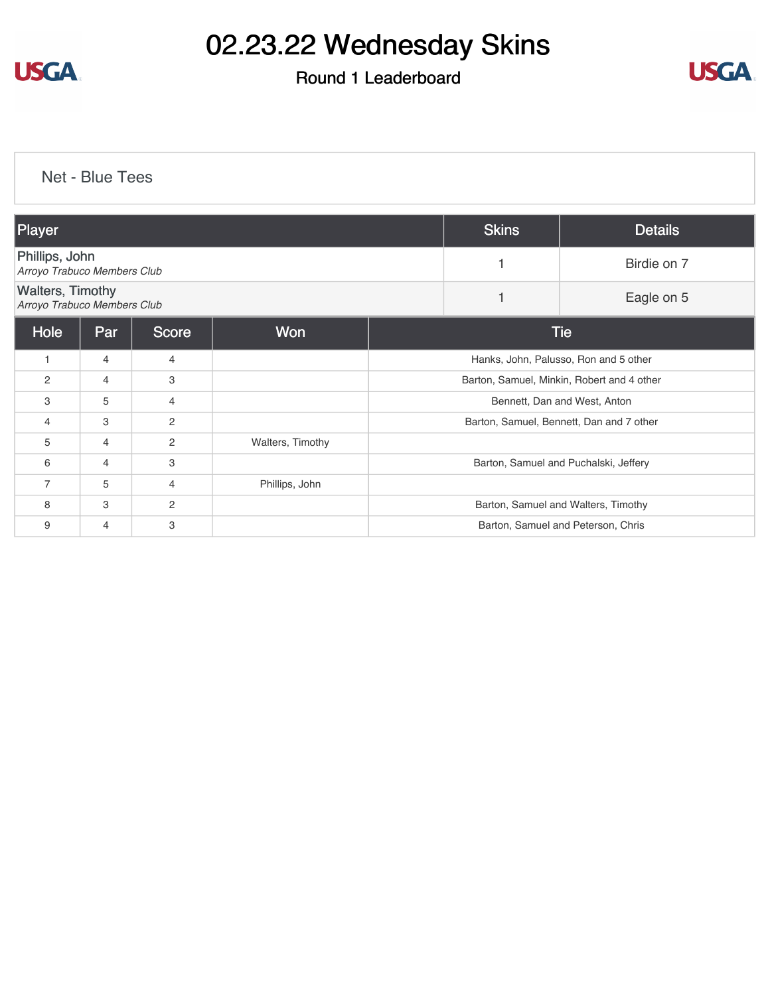

### Round 1 Leaderboard



[Net - Blue Tees](https://cdn2.golfgenius.com/v2tournaments/8243033412605075811?called_from=&round_index=1)

| Player                                                 |     |                |                  | <b>Skins</b>                               | <b>Details</b>                        |                                       |  |
|--------------------------------------------------------|-----|----------------|------------------|--------------------------------------------|---------------------------------------|---------------------------------------|--|
| Phillips, John<br>Arroyo Trabuco Members Club          |     |                |                  |                                            |                                       | Birdie on 7                           |  |
| <b>Walters, Timothy</b><br>Arroyo Trabuco Members Club |     |                |                  |                                            |                                       | Eagle on 5                            |  |
| Hole                                                   | Par | <b>Score</b>   | Won              |                                            | <b>Tie</b>                            |                                       |  |
| $\overline{1}$                                         | 4   | 4              |                  |                                            | Hanks, John, Palusso, Ron and 5 other |                                       |  |
| $\overline{c}$                                         | 4   | 3              |                  | Barton, Samuel, Minkin, Robert and 4 other |                                       |                                       |  |
| 3                                                      | 5   | 4              |                  | Bennett, Dan and West, Anton               |                                       |                                       |  |
| $\overline{4}$                                         | 3   | $\overline{c}$ |                  | Barton, Samuel, Bennett, Dan and 7 other   |                                       |                                       |  |
| 5                                                      | 4   | $\overline{c}$ | Walters, Timothy |                                            |                                       |                                       |  |
| 6                                                      | 4   | 3              |                  |                                            |                                       | Barton, Samuel and Puchalski, Jeffery |  |
| $\overline{7}$                                         | 5   | 4              | Phillips, John   |                                            |                                       |                                       |  |
| 8                                                      | 3   | $\overline{c}$ |                  |                                            |                                       | Barton, Samuel and Walters, Timothy   |  |
| 9                                                      | 4   | 3              |                  | Barton, Samuel and Peterson, Chris         |                                       |                                       |  |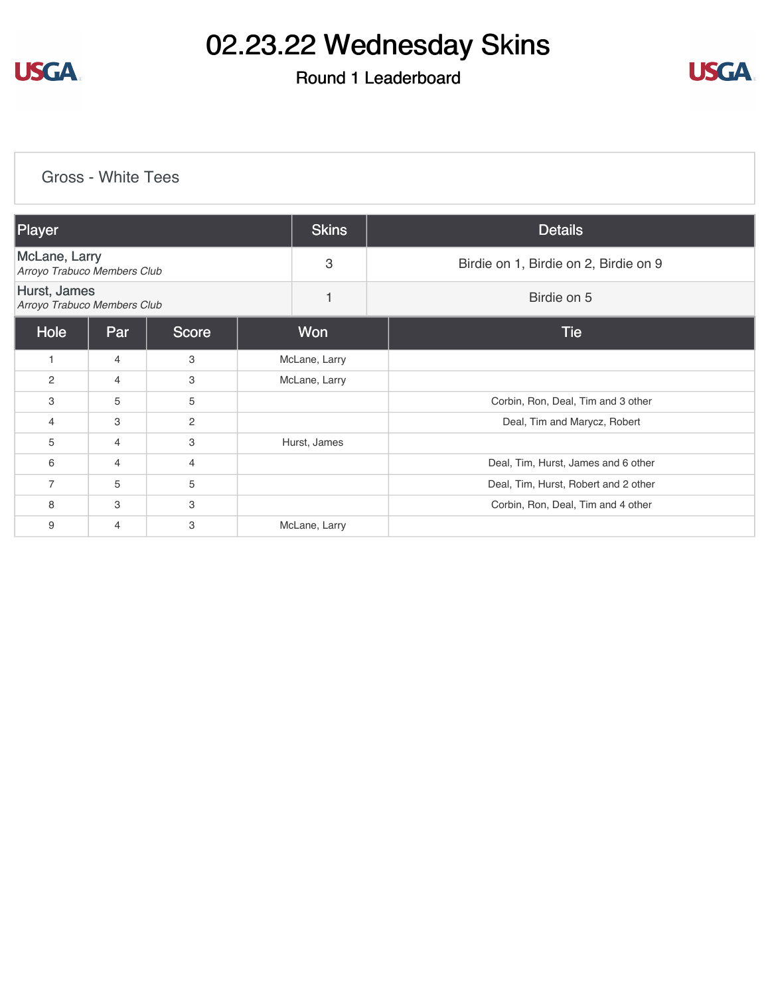

### Round 1 Leaderboard



#### [Gross - White Tees](https://cdn2.golfgenius.com/v2tournaments/8243034213650030948?called_from=&round_index=1)

| Player                                              |                |              | <b>Skins</b>  | <b>Details</b>                        |
|-----------------------------------------------------|----------------|--------------|---------------|---------------------------------------|
| <b>McLane, Larry</b><br>Arroyo Trabuco Members Club |                |              | 3             | Birdie on 1, Birdie on 2, Birdie on 9 |
| Hurst, James<br>Arroyo Trabuco Members Club         |                |              | 1             | Birdie on 5                           |
| Hole                                                | Par            | <b>Score</b> | Won           | <b>Tie</b>                            |
| 1                                                   | $\overline{4}$ | 3            | McLane, Larry |                                       |
| 2                                                   | 4              | 3            | McLane, Larry |                                       |
| 3                                                   | 5              | 5            |               | Corbin, Ron, Deal, Tim and 3 other    |
| 4                                                   | 3              | 2            |               | Deal, Tim and Marycz, Robert          |
| 5                                                   | $\overline{4}$ | 3            | Hurst, James  |                                       |
| 6                                                   | $\overline{4}$ | 4            |               | Deal, Tim, Hurst, James and 6 other   |
| $\overline{7}$                                      | 5              | 5            |               | Deal, Tim, Hurst, Robert and 2 other  |
| 8                                                   | 3              | 3            |               | Corbin, Ron, Deal, Tim and 4 other    |
| 9                                                   | $\overline{4}$ | 3            | McLane, Larry |                                       |